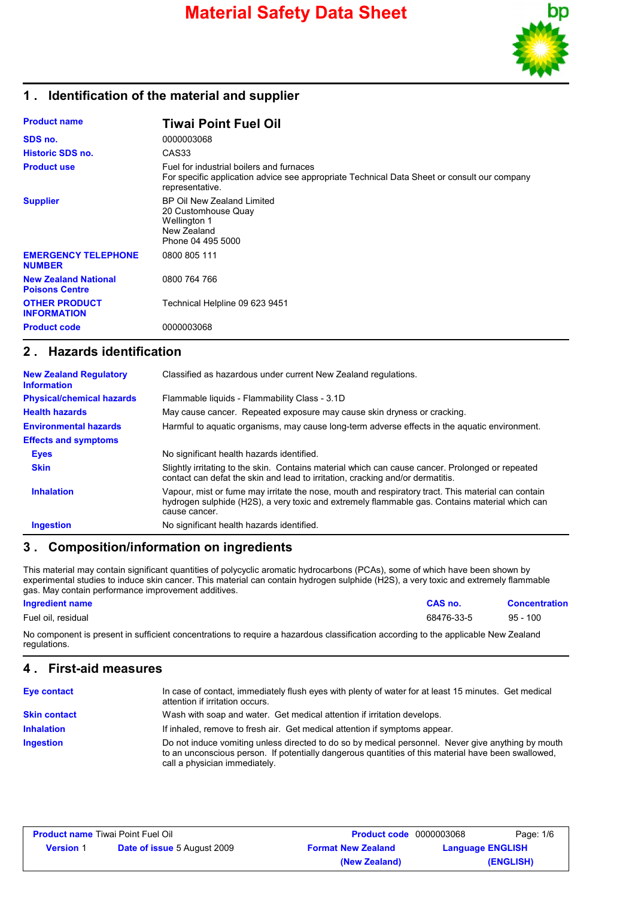

## **1 . Identification of the material and supplier**

| <b>Product name</b>                                  | <b>Tiwai Point Fuel Oil</b>                                                                                                                                |
|------------------------------------------------------|------------------------------------------------------------------------------------------------------------------------------------------------------------|
| SDS no.                                              | 0000003068                                                                                                                                                 |
| <b>Historic SDS no.</b>                              | CAS <sub>33</sub>                                                                                                                                          |
| <b>Product use</b>                                   | Fuel for industrial boilers and furnaces<br>For specific application advice see appropriate Technical Data Sheet or consult our company<br>representative. |
| <b>Supplier</b>                                      | BP Oil New Zealand Limited<br>20 Customhouse Quay<br><b>Wellington 1</b><br>New Zealand<br>Phone 04 495 5000                                               |
| <b>EMERGENCY TELEPHONE</b><br><b>NUMBER</b>          | 0800 805 111                                                                                                                                               |
| <b>New Zealand National</b><br><b>Poisons Centre</b> | 0800 764 766                                                                                                                                               |
| <b>OTHER PRODUCT</b><br><b>INFORMATION</b>           | Technical Helpline 09 623 9451                                                                                                                             |
| <b>Product code</b>                                  | 0000003068                                                                                                                                                 |

### **2 . Hazards identification**

| <b>New Zealand Regulatory</b><br><b>Information</b> | Classified as hazardous under current New Zealand regulations.                                                                                                                                                        |
|-----------------------------------------------------|-----------------------------------------------------------------------------------------------------------------------------------------------------------------------------------------------------------------------|
| <b>Physical/chemical hazards</b>                    | Flammable liquids - Flammability Class - 3.1D                                                                                                                                                                         |
| <b>Health hazards</b>                               | May cause cancer. Repeated exposure may cause skin dryness or cracking.                                                                                                                                               |
| <b>Environmental hazards</b>                        | Harmful to aquatic organisms, may cause long-term adverse effects in the aquatic environment.                                                                                                                         |
| <b>Effects and symptoms</b>                         |                                                                                                                                                                                                                       |
| <b>Eyes</b>                                         | No significant health hazards identified.                                                                                                                                                                             |
| <b>Skin</b>                                         | Slightly irritating to the skin. Contains material which can cause cancer. Prolonged or repeated<br>contact can defat the skin and lead to irritation, cracking and/or dermatitis.                                    |
| <b>Inhalation</b>                                   | Vapour, mist or fume may irritate the nose, mouth and respiratory tract. This material can contain<br>hydrogen sulphide (H2S), a very toxic and extremely flammable gas. Contains material which can<br>cause cancer. |
| <b>Ingestion</b>                                    | No significant health hazards identified.                                                                                                                                                                             |

### **3 . Composition/information on ingredients**

This material may contain significant quantities of polycyclic aromatic hydrocarbons (PCAs), some of which have been shown by experimental studies to induce skin cancer. This material can contain hydrogen sulphide (H2S), a very toxic and extremely flammable gas. May contain performance improvement additives.

#### **Ingredient name CAS no. Concentration**

Fuel oil, residual 68476-33-5 95 - 100

No component is present in sufficient concentrations to require a hazardous classification according to the applicable New Zealand regulations.

### **4 . First-aid measures**

| <b>Eye contact</b>  | In case of contact, immediately flush eyes with plenty of water for at least 15 minutes. Get medical<br>attention if irritation occurs.                                                                                                    |
|---------------------|--------------------------------------------------------------------------------------------------------------------------------------------------------------------------------------------------------------------------------------------|
| <b>Skin contact</b> | Wash with soap and water. Get medical attention if irritation develops.                                                                                                                                                                    |
| <b>Inhalation</b>   | If inhaled, remove to fresh air. Get medical attention if symptoms appear.                                                                                                                                                                 |
| Ingestion           | Do not induce vomiting unless directed to do so by medical personnel. Never give anything by mouth<br>to an unconscious person. If potentially dangerous quantities of this material have been swallowed,<br>call a physician immediately. |

| <b>Product name Tiwai Point Fuel Oil</b> |                                    | <b>Product code</b> 0000003068 |                         | Page: 1/6 |
|------------------------------------------|------------------------------------|--------------------------------|-------------------------|-----------|
| <b>Version 1</b>                         | <b>Date of issue 5 August 2009</b> | <b>Format New Zealand</b>      | <b>Language ENGLISH</b> |           |
|                                          |                                    | (New Zealand)                  |                         | (ENGLISH) |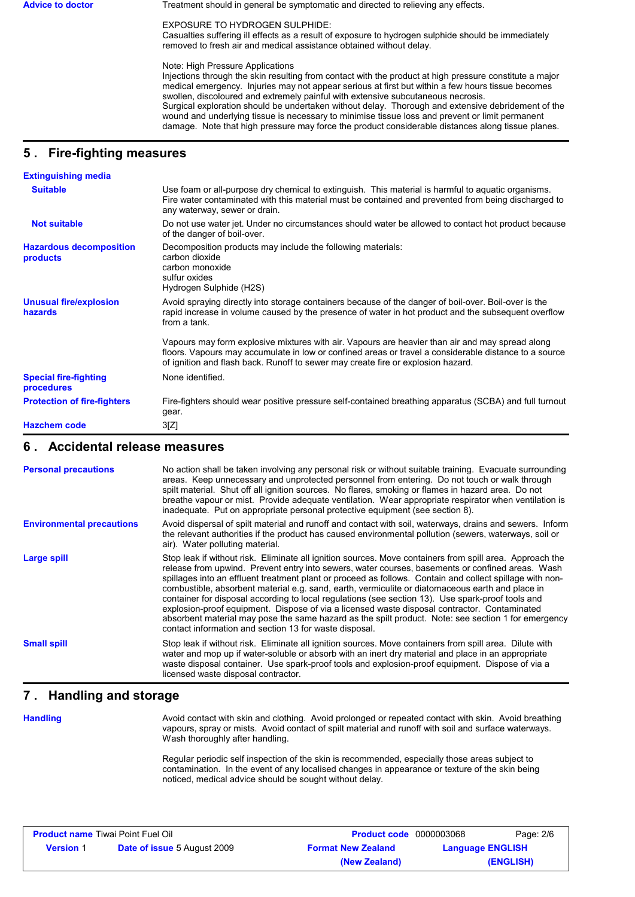Advice to doctor **Treatment should in general be symptomatic and directed to relieving any effects.** 

EXPOSURE TO HYDROGEN SULPHIDE:

Casualties suffering ill effects as a result of exposure to hydrogen sulphide should be immediately removed to fresh air and medical assistance obtained without delay.

Note: High Pressure Applications

Injections through the skin resulting from contact with the product at high pressure constitute a major medical emergency. Injuries may not appear serious at first but within a few hours tissue becomes swollen, discoloured and extremely painful with extensive subcutaneous necrosis. Surgical exploration should be undertaken without delay. Thorough and extensive debridement of the wound and underlying tissue is necessary to minimise tissue loss and prevent or limit permanent damage. Note that high pressure may force the product considerable distances along tissue planes.

# **5 . Fire-fighting measures**

| <b>Extinguishing media</b>                 |                                                                                                                                                                                                                                                                                              |
|--------------------------------------------|----------------------------------------------------------------------------------------------------------------------------------------------------------------------------------------------------------------------------------------------------------------------------------------------|
| <b>Suitable</b>                            | Use foam or all-purpose dry chemical to extinguish. This material is harmful to aquatic organisms.<br>Fire water contaminated with this material must be contained and prevented from being discharged to<br>any waterway, sewer or drain.                                                   |
| <b>Not suitable</b>                        | Do not use water jet. Under no circumstances should water be allowed to contact hot product because<br>of the danger of boil-over.                                                                                                                                                           |
| <b>Hazardous decomposition</b><br>products | Decomposition products may include the following materials:<br>carbon dioxide<br>carbon monoxide<br>sulfur oxides<br>Hydrogen Sulphide (H2S)                                                                                                                                                 |
| <b>Unusual fire/explosion</b><br>hazards   | Avoid spraying directly into storage containers because of the danger of boil-over. Boil-over is the<br>rapid increase in volume caused by the presence of water in hot product and the subsequent overflow<br>from a tank.                                                                  |
|                                            | Vapours may form explosive mixtures with air. Vapours are heavier than air and may spread along<br>floors. Vapours may accumulate in low or confined areas or travel a considerable distance to a source<br>of ignition and flash back. Runoff to sewer may create fire or explosion hazard. |
| <b>Special fire-fighting</b><br>procedures | None identified.                                                                                                                                                                                                                                                                             |
| <b>Protection of fire-fighters</b>         | Fire-fighters should wear positive pressure self-contained breathing apparatus (SCBA) and full turnout<br>gear.                                                                                                                                                                              |
| <b>Hazchem code</b>                        | 3[Z]                                                                                                                                                                                                                                                                                         |

### **6 . Accidental release measures**

| <b>Personal precautions</b>      | No action shall be taken involving any personal risk or without suitable training. Evacuate surrounding<br>areas. Keep unnecessary and unprotected personnel from entering. Do not touch or walk through<br>spilt material. Shut off all ignition sources. No flares, smoking or flames in hazard area. Do not<br>breathe vapour or mist. Provide adequate ventilation. Wear appropriate respirator when ventilation is<br>inadequate. Put on appropriate personal protective equipment (see section 8).                                                                                                                                                                                                                                                                                           |
|----------------------------------|----------------------------------------------------------------------------------------------------------------------------------------------------------------------------------------------------------------------------------------------------------------------------------------------------------------------------------------------------------------------------------------------------------------------------------------------------------------------------------------------------------------------------------------------------------------------------------------------------------------------------------------------------------------------------------------------------------------------------------------------------------------------------------------------------|
| <b>Environmental precautions</b> | Avoid dispersal of spilt material and runoff and contact with soil, waterways, drains and sewers. Inform<br>the relevant authorities if the product has caused environmental pollution (sewers, waterways, soil or<br>air). Water polluting material.                                                                                                                                                                                                                                                                                                                                                                                                                                                                                                                                              |
| Large spill                      | Stop leak if without risk. Eliminate all ignition sources. Move containers from spill area. Approach the<br>release from upwind. Prevent entry into sewers, water courses, basements or confined areas. Wash<br>spillages into an effluent treatment plant or proceed as follows. Contain and collect spillage with non-<br>combustible, absorbent material e.g. sand, earth, vermiculite or diatomaceous earth and place in<br>container for disposal according to local regulations (see section 13). Use spark-proof tools and<br>explosion-proof equipment. Dispose of via a licensed waste disposal contractor. Contaminated<br>absorbent material may pose the same hazard as the spilt product. Note: see section 1 for emergency<br>contact information and section 13 for waste disposal. |
| <b>Small spill</b>               | Stop leak if without risk. Eliminate all ignition sources. Move containers from spill area. Dilute with<br>water and mop up if water-soluble or absorb with an inert dry material and place in an appropriate<br>waste disposal container. Use spark-proof tools and explosion-proof equipment. Dispose of via a<br>licensed waste disposal contractor.                                                                                                                                                                                                                                                                                                                                                                                                                                            |

### **7 . Handling and storage**

**Handling**

Avoid contact with skin and clothing. Avoid prolonged or repeated contact with skin. Avoid breathing vapours, spray or mists. Avoid contact of spilt material and runoff with soil and surface waterways. Wash thoroughly after handling.

Regular periodic self inspection of the skin is recommended, especially those areas subject to contamination. In the event of any localised changes in appearance or texture of the skin being noticed, medical advice should be sought without delay.

| <b>Product name Tiwai Point Fuel Oil</b> |                                    | <b>Product code</b> 0000003068 |                         | Page: 2/6 |
|------------------------------------------|------------------------------------|--------------------------------|-------------------------|-----------|
| <b>Version 1</b>                         | <b>Date of issue</b> 5 August 2009 | <b>Format New Zealand</b>      | <b>Language ENGLISH</b> |           |
|                                          |                                    | (New Zealand)                  |                         | (ENGLISH) |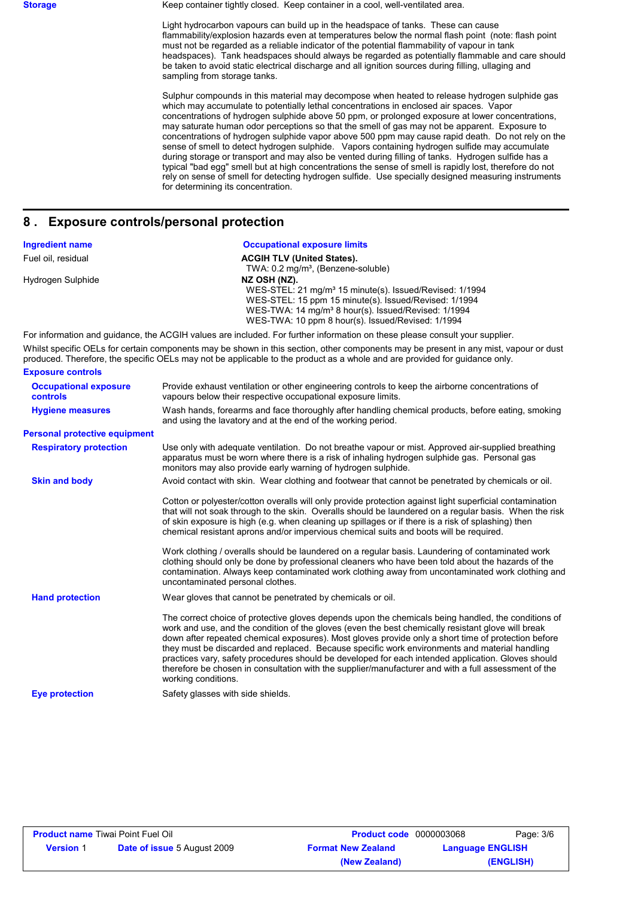**Storage** Keep container tightly closed. Keep container in a cool, well-ventilated area.

Light hydrocarbon vapours can build up in the headspace of tanks. These can cause flammability/explosion hazards even at temperatures below the normal flash point (note: flash point must not be regarded as a reliable indicator of the potential flammability of vapour in tank headspaces). Tank headspaces should always be regarded as potentially flammable and care should be taken to avoid static electrical discharge and all ignition sources during filling, ullaging and sampling from storage tanks.

Sulphur compounds in this material may decompose when heated to release hydrogen sulphide gas which may accumulate to potentially lethal concentrations in enclosed air spaces. Vapor concentrations of hydrogen sulphide above 50 ppm, or prolonged exposure at lower concentrations, may saturate human odor perceptions so that the smell of gas may not be apparent. Exposure to concentrations of hydrogen sulphide vapor above 500 ppm may cause rapid death. Do not rely on the sense of smell to detect hydrogen sulphide. Vapors containing hydrogen sulfide may accumulate during storage or transport and may also be vented during filling of tanks. Hydrogen sulfide has a typical "bad egg" smell but at high concentrations the sense of smell is rapidly lost, therefore do not rely on sense of smell for detecting hydrogen sulfide. Use specially designed measuring instruments for determining its concentration.

### **8 . Exposure controls/personal protection**

| <b>Ingredient name</b> | <b>Occupational exposure limits</b>                                                                                         |
|------------------------|-----------------------------------------------------------------------------------------------------------------------------|
| Fuel oil, residual     | <b>ACGIH TLV (United States).</b>                                                                                           |
|                        | TWA: 0.2 mg/m <sup>3</sup> , (Benzene-soluble)                                                                              |
| Hydrogen Sulphide      | NZ OSH (NZ).                                                                                                                |
|                        | WES-STEL: 21 mg/m <sup>3</sup> 15 minute(s). Issued/Revised: 1/1994                                                         |
|                        | WES-STEL: 15 ppm 15 minute(s). Issued/Revised: 1/1994                                                                       |
|                        | WES-TWA: 14 mg/m <sup>3</sup> 8 hour(s). Issued/Revised: 1/1994                                                             |
|                        | WES-TWA: 10 ppm 8 hour(s). Issued/Revised: 1/1994                                                                           |
|                        | For information and quidance, the ACGIH values are included. For further information on these please consult your supplier. |

Whilst specific OELs for certain components may be shown in this section, other components may be present in any mist, vapour or dust produced. Therefore, the specific OELs may not be applicable to the product as a whole and are provided for guidance only. **Exposure controls**

| <b>Occupational exposure</b><br><b>controls</b> | Provide exhaust ventilation or other engineering controls to keep the airborne concentrations of<br>vapours below their respective occupational exposure limits.                                                                                                                                                                                                                                                                                                                                                                                                                                                                                       |
|-------------------------------------------------|--------------------------------------------------------------------------------------------------------------------------------------------------------------------------------------------------------------------------------------------------------------------------------------------------------------------------------------------------------------------------------------------------------------------------------------------------------------------------------------------------------------------------------------------------------------------------------------------------------------------------------------------------------|
| <b>Hygiene measures</b>                         | Wash hands, forearms and face thoroughly after handling chemical products, before eating, smoking<br>and using the lavatory and at the end of the working period.                                                                                                                                                                                                                                                                                                                                                                                                                                                                                      |
| <b>Personal protective equipment</b>            |                                                                                                                                                                                                                                                                                                                                                                                                                                                                                                                                                                                                                                                        |
| <b>Respiratory protection</b>                   | Use only with adequate ventilation. Do not breathe vapour or mist. Approved air-supplied breathing<br>apparatus must be worn where there is a risk of inhaling hydrogen sulphide gas. Personal gas<br>monitors may also provide early warning of hydrogen sulphide.                                                                                                                                                                                                                                                                                                                                                                                    |
| <b>Skin and body</b>                            | Avoid contact with skin. Wear clothing and footwear that cannot be penetrated by chemicals or oil.                                                                                                                                                                                                                                                                                                                                                                                                                                                                                                                                                     |
|                                                 | Cotton or polyester/cotton overalls will only provide protection against light superficial contamination<br>that will not soak through to the skin. Overalls should be laundered on a regular basis. When the risk<br>of skin exposure is high (e.g. when cleaning up spillages or if there is a risk of splashing) then<br>chemical resistant aprons and/or impervious chemical suits and boots will be required.<br>Work clothing / overalls should be laundered on a regular basis. Laundering of contaminated work                                                                                                                                 |
|                                                 | clothing should only be done by professional cleaners who have been told about the hazards of the<br>contamination. Always keep contaminated work clothing away from uncontaminated work clothing and<br>uncontaminated personal clothes.                                                                                                                                                                                                                                                                                                                                                                                                              |
| <b>Hand protection</b>                          | Wear gloves that cannot be penetrated by chemicals or oil.                                                                                                                                                                                                                                                                                                                                                                                                                                                                                                                                                                                             |
|                                                 | The correct choice of protective gloves depends upon the chemicals being handled, the conditions of<br>work and use, and the condition of the gloves (even the best chemically resistant glove will break<br>down after repeated chemical exposures). Most gloves provide only a short time of protection before<br>they must be discarded and replaced. Because specific work environments and material handling<br>practices vary, safety procedures should be developed for each intended application. Gloves should<br>therefore be chosen in consultation with the supplier/manufacturer and with a full assessment of the<br>working conditions. |
| <b>Eve protection</b>                           | Safety glasses with side shields.                                                                                                                                                                                                                                                                                                                                                                                                                                                                                                                                                                                                                      |

| <b>Product name Tiwai Point Fuel Oil</b> |                                    | <b>Product code</b> 0000003068 | Page: 3/6               |
|------------------------------------------|------------------------------------|--------------------------------|-------------------------|
| <b>Version 1</b>                         | <b>Date of issue 5 August 2009</b> | <b>Format New Zealand</b>      | <b>Language ENGLISH</b> |
|                                          |                                    | (New Zealand)                  | (ENGLISH)               |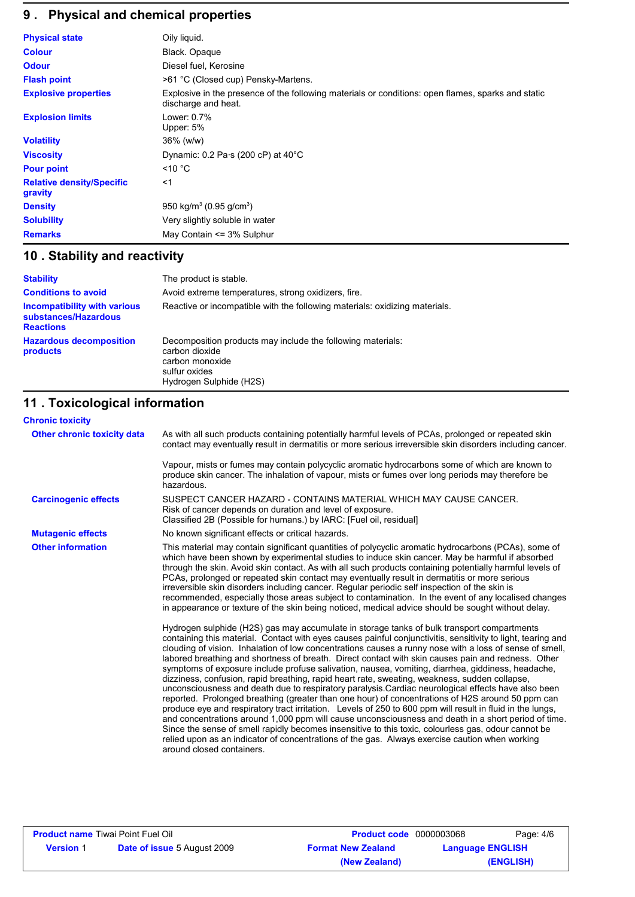# **9 . Physical and chemical properties**

| <b>Physical state</b>                       | Oily liquid.                                                                                                              |
|---------------------------------------------|---------------------------------------------------------------------------------------------------------------------------|
| <b>Colour</b>                               | Black. Opaque                                                                                                             |
| <b>Odour</b>                                | Diesel fuel, Kerosine                                                                                                     |
| <b>Flash point</b>                          | >61 °C (Closed cup) Pensky-Martens.                                                                                       |
| <b>Explosive properties</b>                 | Explosive in the presence of the following materials or conditions: open flames, sparks and static<br>discharge and heat. |
| <b>Explosion limits</b>                     | Lower: 0.7%<br>Upper: 5%                                                                                                  |
| <b>Volatility</b>                           | 36% (w/w)                                                                                                                 |
| <b>Viscosity</b>                            | Dynamic: $0.2$ Pa $\cdot$ s (200 cP) at 40 $\rm ^{\circ}C$                                                                |
| <b>Pour point</b>                           | $\leq 10$ °C                                                                                                              |
| <b>Relative density/Specific</b><br>gravity | $<$ 1                                                                                                                     |
| <b>Density</b>                              | 950 kg/m <sup>3</sup> (0.95 g/cm <sup>3</sup> )                                                                           |
| <b>Solubility</b>                           | Very slightly soluble in water                                                                                            |
| <b>Remarks</b>                              | May Contain <= 3% Sulphur                                                                                                 |

# **10 . Stability and reactivity**

| <b>Stability</b>                                                                | The product is stable.                                                                                                                       |
|---------------------------------------------------------------------------------|----------------------------------------------------------------------------------------------------------------------------------------------|
| <b>Conditions to avoid</b>                                                      | Avoid extreme temperatures, strong oxidizers, fire.                                                                                          |
| <b>Incompatibility with various</b><br>substances/Hazardous<br><b>Reactions</b> | Reactive or incompatible with the following materials: oxidizing materials.                                                                  |
| <b>Hazardous decomposition</b><br>products                                      | Decomposition products may include the following materials:<br>carbon dioxide<br>carbon monoxide<br>sulfur oxides<br>Hydrogen Sulphide (H2S) |

# **11 . Toxicological information**

| <b>Chronic toxicity</b>     |                                                                                                                                                                                                                                                                                                                                                                                                                                                                                                                                                                                                                                                                                                                                                                                                                                                                                                                                                                                                                                                                                                                                                                                                                                                                                                        |
|-----------------------------|--------------------------------------------------------------------------------------------------------------------------------------------------------------------------------------------------------------------------------------------------------------------------------------------------------------------------------------------------------------------------------------------------------------------------------------------------------------------------------------------------------------------------------------------------------------------------------------------------------------------------------------------------------------------------------------------------------------------------------------------------------------------------------------------------------------------------------------------------------------------------------------------------------------------------------------------------------------------------------------------------------------------------------------------------------------------------------------------------------------------------------------------------------------------------------------------------------------------------------------------------------------------------------------------------------|
| Other chronic toxicity data | As with all such products containing potentially harmful levels of PCAs, prolonged or repeated skin<br>contact may eventually result in dermatitis or more serious irreversible skin disorders including cancer.                                                                                                                                                                                                                                                                                                                                                                                                                                                                                                                                                                                                                                                                                                                                                                                                                                                                                                                                                                                                                                                                                       |
|                             | Vapour, mists or fumes may contain polycyclic aromatic hydrocarbons some of which are known to<br>produce skin cancer. The inhalation of vapour, mists or fumes over long periods may therefore be<br>hazardous.                                                                                                                                                                                                                                                                                                                                                                                                                                                                                                                                                                                                                                                                                                                                                                                                                                                                                                                                                                                                                                                                                       |
| <b>Carcinogenic effects</b> | SUSPECT CANCER HAZARD - CONTAINS MATERIAL WHICH MAY CAUSE CANCER.<br>Risk of cancer depends on duration and level of exposure.<br>Classified 2B (Possible for humans.) by IARC: [Fuel oil, residual]                                                                                                                                                                                                                                                                                                                                                                                                                                                                                                                                                                                                                                                                                                                                                                                                                                                                                                                                                                                                                                                                                                   |
| <b>Mutagenic effects</b>    | No known significant effects or critical hazards.                                                                                                                                                                                                                                                                                                                                                                                                                                                                                                                                                                                                                                                                                                                                                                                                                                                                                                                                                                                                                                                                                                                                                                                                                                                      |
| <b>Other information</b>    | This material may contain significant quantities of polycyclic aromatic hydrocarbons (PCAs), some of<br>which have been shown by experimental studies to induce skin cancer. May be harmful if absorbed<br>through the skin. Avoid skin contact. As with all such products containing potentially harmful levels of<br>PCAs, prolonged or repeated skin contact may eventually result in dermatitis or more serious<br>irreversible skin disorders including cancer. Regular periodic self inspection of the skin is<br>recommended, especially those areas subject to contamination. In the event of any localised changes<br>in appearance or texture of the skin being noticed, medical advice should be sought without delay.                                                                                                                                                                                                                                                                                                                                                                                                                                                                                                                                                                      |
|                             | Hydrogen sulphide (H2S) gas may accumulate in storage tanks of bulk transport compartments<br>containing this material. Contact with eyes causes painful conjunctivitis, sensitivity to light, tearing and<br>clouding of vision. Inhalation of low concentrations causes a runny nose with a loss of sense of smell,<br>labored breathing and shortness of breath. Direct contact with skin causes pain and redness. Other<br>symptoms of exposure include profuse salivation, nausea, vomiting, diarrhea, giddiness, headache,<br>dizziness, confusion, rapid breathing, rapid heart rate, sweating, weakness, sudden collapse,<br>unconsciousness and death due to respiratory paralysis. Cardiac neurological effects have also been<br>reported. Prolonged breathing (greater than one hour) of concentrations of H2S around 50 ppm can<br>produce eye and respiratory tract irritation. Levels of 250 to 600 ppm will result in fluid in the lungs,<br>and concentrations around 1,000 ppm will cause unconsciousness and death in a short period of time.<br>Since the sense of smell rapidly becomes insensitive to this toxic, colourless gas, odour cannot be<br>relied upon as an indicator of concentrations of the gas. Always exercise caution when working<br>around closed containers. |

| <b>Product name</b> Tiwai Point Fuel Oil |                                    | <b>Product code</b> 0000003068 |                         | Page: 4/6 |
|------------------------------------------|------------------------------------|--------------------------------|-------------------------|-----------|
| <b>Version 1</b>                         | <b>Date of issue 5 August 2009</b> | <b>Format New Zealand</b>      | <b>Language ENGLISH</b> |           |
|                                          |                                    | (New Zealand)                  |                         | (ENGLISH) |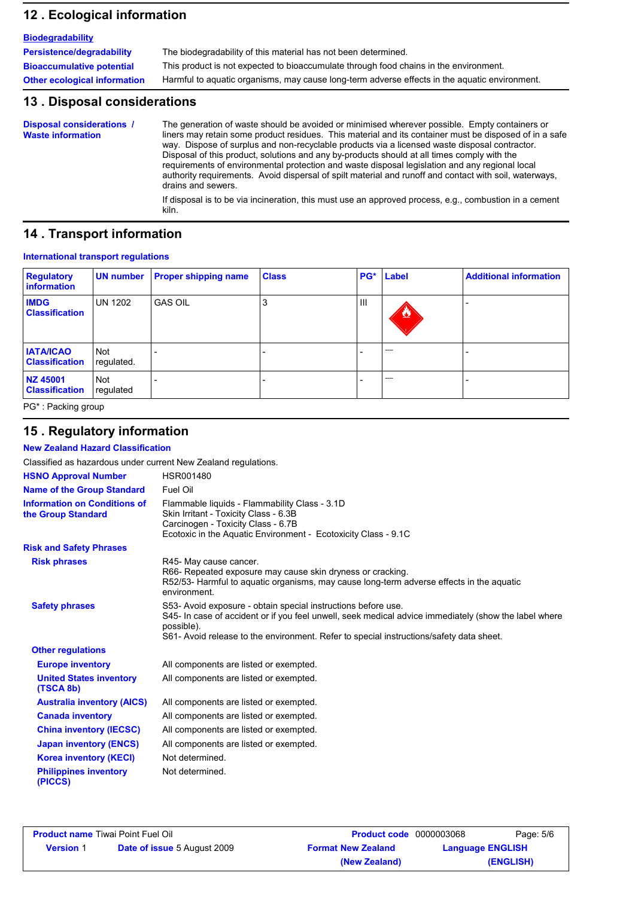### **12 . Ecological information**

| <b>Biodegradability</b>             |                                                                                               |
|-------------------------------------|-----------------------------------------------------------------------------------------------|
| Persistence/degradability           | The biodegradability of this material has not been determined.                                |
| <b>Bioaccumulative potential</b>    | This product is not expected to bioaccumulate through food chains in the environment.         |
| <b>Other ecological information</b> | Harmful to aquatic organisms, may cause long-term adverse effects in the aquatic environment. |

### **13 . Disposal considerations**

The generation of waste should be avoided or minimised wherever possible. Empty containers or liners may retain some product residues. This material and its container must be disposed of in a safe way. Dispose of surplus and non-recyclable products via a licensed waste disposal contractor. Disposal of this product, solutions and any by-products should at all times comply with the requirements of environmental protection and waste disposal legislation and any regional local authority requirements. Avoid dispersal of spilt material and runoff and contact with soil, waterways, drains and sewers. **Disposal considerations / Waste information**

If disposal is to be via incineration, this must use an approved process, e.g., combustion in a cement kiln.

### **14 . Transport information**

### **International transport regulations**

| <b>Regulatory</b><br>information          | UN number                | <b>Proper shipping name</b> | <b>Class</b> |     | PG* Label         | <b>Additional information</b> |
|-------------------------------------------|--------------------------|-----------------------------|--------------|-----|-------------------|-------------------------------|
| <b>IMDG</b><br><b>Classification</b>      | <b>UN 1202</b>           | <b>GAS OIL</b>              | J.           | III | $\bf{z}$          |                               |
| <b>IATA/ICAO</b><br><b>Classification</b> | <b>Not</b><br>regulated. |                             |              |     | <b>STATISTICS</b> |                               |
| NZ 45001<br><b>Classification</b>         | Not<br>regulated         |                             |              |     | <b>STATISTICS</b> |                               |

PG\* : Packing group

### **15 . Regulatory information**

**New Zealand Hazard Classification**

| Classified as hazardous under current New Zealand regulations. |                                                                                                                                                                                                                                                                                 |
|----------------------------------------------------------------|---------------------------------------------------------------------------------------------------------------------------------------------------------------------------------------------------------------------------------------------------------------------------------|
| <b>HSNO Approval Number</b>                                    | HSR001480                                                                                                                                                                                                                                                                       |
| <b>Name of the Group Standard</b>                              | Fuel Oil                                                                                                                                                                                                                                                                        |
| <b>Information on Conditions of</b><br>the Group Standard      | Flammable liquids - Flammability Class - 3.1D<br>Skin Irritant - Toxicity Class - 6.3B<br>Carcinogen - Toxicity Class - 6.7B<br>Ecotoxic in the Aquatic Environment - Ecotoxicity Class - 9.1C                                                                                  |
| <b>Risk and Safety Phrases</b>                                 |                                                                                                                                                                                                                                                                                 |
| <b>Risk phrases</b>                                            | R45- May cause cancer.<br>R66- Repeated exposure may cause skin dryness or cracking.<br>R52/53- Harmful to aquatic organisms, may cause long-term adverse effects in the aquatic<br>environment.                                                                                |
| <b>Safety phrases</b>                                          | S53- Avoid exposure - obtain special instructions before use.<br>S45- In case of accident or if you feel unwell, seek medical advice immediately (show the label where<br>possible).<br>S61- Avoid release to the environment. Refer to special instructions/safety data sheet. |
| <b>Other regulations</b>                                       |                                                                                                                                                                                                                                                                                 |
| <b>Europe inventory</b>                                        | All components are listed or exempted.                                                                                                                                                                                                                                          |
| <b>United States inventory</b><br>(TSCA 8b)                    | All components are listed or exempted.                                                                                                                                                                                                                                          |
| <b>Australia inventory (AICS)</b>                              | All components are listed or exempted.                                                                                                                                                                                                                                          |
| <b>Canada inventory</b>                                        | All components are listed or exempted.                                                                                                                                                                                                                                          |
| <b>China inventory (IECSC)</b>                                 | All components are listed or exempted.                                                                                                                                                                                                                                          |
| <b>Japan inventory (ENCS)</b>                                  | All components are listed or exempted.                                                                                                                                                                                                                                          |
| <b>Korea inventory (KECI)</b>                                  | Not determined.                                                                                                                                                                                                                                                                 |
| <b>Philippines inventory</b><br>(PICCS)                        | Not determined.                                                                                                                                                                                                                                                                 |

| <b>Product name Tiwai Point Fuel Oil</b> |                                    | <b>Product code</b> 0000003068 |                         | Page: 5/6 |
|------------------------------------------|------------------------------------|--------------------------------|-------------------------|-----------|
| <b>Version 1</b>                         | <b>Date of issue 5 August 2009</b> | <b>Format New Zealand</b>      | <b>Language ENGLISH</b> |           |
|                                          |                                    | (New Zealand)                  |                         | (ENGLISH) |